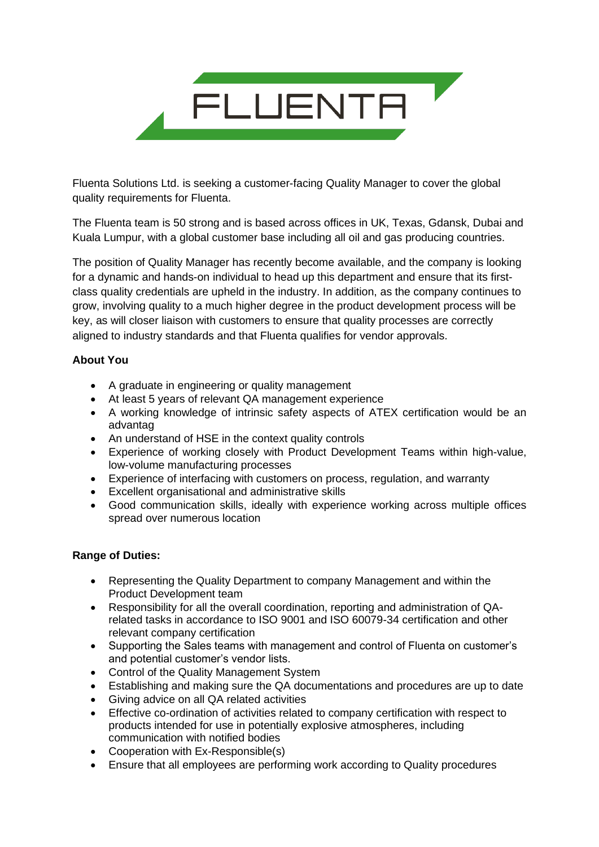

Fluenta Solutions Ltd. is seeking a customer-facing Quality Manager to cover the global quality requirements for Fluenta.

The Fluenta team is 50 strong and is based across offices in UK, Texas, Gdansk, Dubai and Kuala Lumpur, with a global customer base including all oil and gas producing countries.

The position of Quality Manager has recently become available, and the company is looking for a dynamic and hands-on individual to head up this department and ensure that its firstclass quality credentials are upheld in the industry. In addition, as the company continues to grow, involving quality to a much higher degree in the product development process will be key, as will closer liaison with customers to ensure that quality processes are correctly aligned to industry standards and that Fluenta qualifies for vendor approvals.

## **About You**

- A graduate in engineering or quality management
- At least 5 years of relevant QA management experience
- A working knowledge of intrinsic safety aspects of ATEX certification would be an advantag
- An understand of HSE in the context quality controls
- Experience of working closely with Product Development Teams within high-value, low-volume manufacturing processes
- Experience of interfacing with customers on process, regulation, and warranty
- Excellent organisational and administrative skills
- Good communication skills, ideally with experience working across multiple offices spread over numerous location

## **Range of Duties:**

- Representing the Quality Department to company Management and within the Product Development team
- Responsibility for all the overall coordination, reporting and administration of QArelated tasks in accordance to ISO 9001 and ISO 60079-34 certification and other relevant company certification
- Supporting the Sales teams with management and control of Fluenta on customer's and potential customer's vendor lists.
- Control of the Quality Management System
- Establishing and making sure the QA documentations and procedures are up to date
- Giving advice on all QA related activities
- Effective co-ordination of activities related to company certification with respect to products intended for use in potentially explosive atmospheres, including communication with notified bodies
- Cooperation with Ex-Responsible(s)
- Ensure that all employees are performing work according to Quality procedures